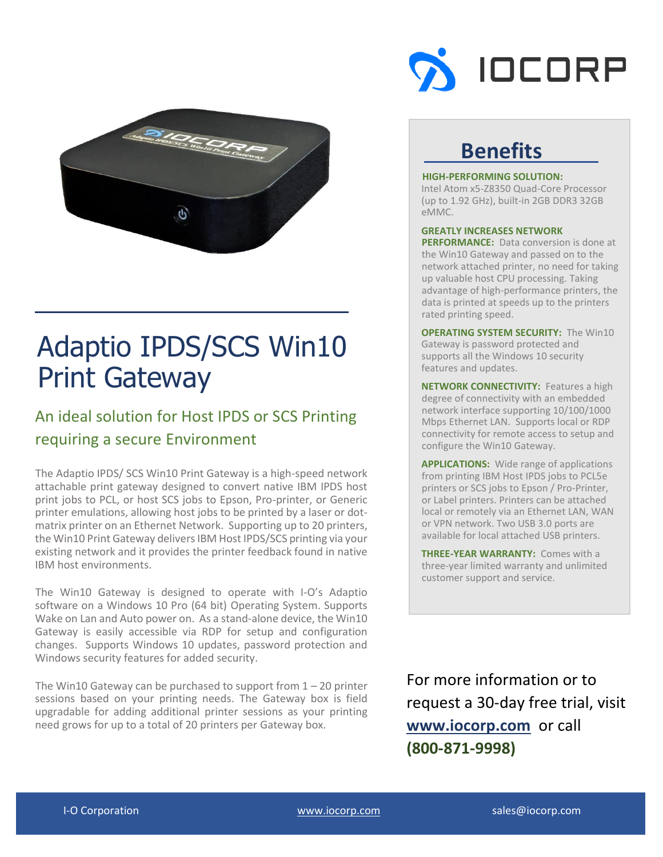

# Adaptio IPDS/SCS Win10 Print Gateway

### An ideal solution for Host IPDS or SCS Printing requiring a secure Environment

The Adaptio IPDS/ SCS Win10 Print Gateway is a high-speed network attachable print gateway designed to convert native IBM IPDS host print jobs to PCL, or host SCS jobs to Epson, Pro-printer, or Generic printer emulations, allowing host jobs to be printed by a laser or dotmatrix printer on an Ethernet Network. Supporting up to 20 printers, the Win10 Print Gateway delivers IBM Host IPDS/SCS printing via your existing network and it provides the printer feedback found in native IBM host environments.

The Win10 Gateway is designed to operate with I-O's Adaptio software on a Windows 10 Pro (64 bit) Operating System. Supports Wake on Lan and Auto power on. As a stand-alone device, the Win10 Gateway is easily accessible via RDP for setup and configuration changes. Supports Windows 10 updates, password protection and Windows security features for added security.

The Win10 Gateway can be purchased to support from  $1 - 20$  printer sessions based on your printing needs. The Gateway box is field upgradable for adding additional printer sessions as your printing need grows for up to a total of 20 printers per Gateway box.



## **Benefits**

#### **HIGH-PERFORMING SOLUTION:**

Intel Atom x5-Z8350 Quad-Core Processor (up to 1.92 GHz), built-in 2GB DDR3 32GB eMMC.

#### **GREATLY INCREASES NETWORK**

**PERFORMANCE:** Data conversion is done at the Win10 Gateway and passed on to the network attached printer, no need for taking up valuable host CPU processing. Taking advantage of high-performance printers, the data is printed at speeds up to the printers rated printing speed.

**OPERATING SYSTEM SECURITY:** The Win10 Gateway is password protected and supports all the Windows 10 security features and updates.

**NETWORK CONNECTIVITY:** Features a high degree of connectivity with an embedded network interface supporting 10/100/1000 Mbps Ethernet LAN. Supports local or RDP connectivity for remote access to setup and configure the Win10 Gateway.

**APPLICATIONS:** Wide range of applications from printing IBM Host IPDS jobs to PCL5e printers or SCS jobs to Epson / Pro-Printer, or Label printers. Printers can be attached local or remotely via an Ethernet LAN, WAN or VPN network. Two USB 3.0 ports are available for local attached USB printers.

**THREE-YEAR WARRANTY:** Comes with a three-year limited warranty and unlimited customer support and service.

For more information or to request a 30-day free trial, visit **[www.iocorp.com](http://www.iocorp.com/)** or call **(800-871-9998)**